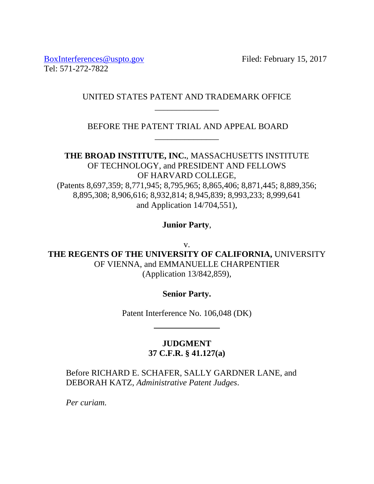[BoxInterferences@uspto.gov](mailto:BoxInterferences@uspto.gov) Filed: February 15, 2017 Tel: 571-272-7822

## UNITED STATES PATENT AND TRADEMARK OFFICE \_\_\_\_\_\_\_\_\_\_\_\_\_\_\_

BEFORE THE PATENT TRIAL AND APPEAL BOARD \_\_\_\_\_\_\_\_\_\_\_\_\_\_\_

**THE BROAD INSTITUTE, INC.**, MASSACHUSETTS INSTITUTE OF TECHNOLOGY, and PRESIDENT AND FELLOWS OF HARVARD COLLEGE, (Patents 8,697,359; 8,771,945; 8,795,965; 8,865,406; 8,871,445; 8,889,356; 8,895,308; 8,906,616; 8,932,814; 8,945,839; 8,993,233; 8,999,641 and Application 14/704,551),

**Junior Party**,

v.

**THE REGENTS OF THE UNIVERSITY OF CALIFORNIA,** UNIVERSITY OF VIENNA, and EMMANUELLE CHARPENTIER (Application 13/842,859),

**Senior Party.**

Patent Interference No. 106,048 (DK)

**JUDGMENT 37 C.F.R. § 41.127(a)**

Before RICHARD E. SCHAFER, SALLY GARDNER LANE, and DEBORAH KATZ, *Administrative Patent Judges*.

*Per curiam.*